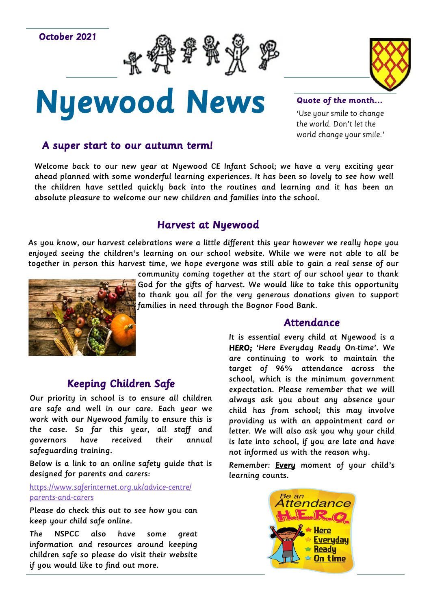October 2021





# Nyewood News

#### **Quote of the month...**

'Use your smile to change the world. Don't let the world change your smile.'

## A super start to our autumn term!

Welcome back to our new year at Nyewood CE Infant School; we have a very exciting year ahead planned with some wonderful learning experiences. It has been so lovely to see how well the children have settled quickly back into the routines and learning and it has been an absolute pleasure to welcome our new children and families into the school.

# Harvest at Nyewood

As you know, our harvest celebrations were a little different this year however we really hope you enjoyed seeing the children's learning on our school website. While we were not able to all be together in person this harvest time, we hope everyone was still able to gain a real sense of our



community coming together at the start of our school year to thank God for the gifts of harvest. We would like to take this opportunity to thank you all for the very generous donations given to support families in need through the Bognor Food Bank.

### Attendance

It is essential every child at Nyewood is a HERO; 'Here Everyday Ready On-time'. We are continuing to work to maintain the target of 96% attendance across the school, which is the minimum government expectation. Please remember that we will always ask you about any absence your child has from school; this may involve providing us with an appointment card or letter. We will also ask you why your child is late into school, if you are late and have not informed us with the reason why.

Remember: Every moment of your child's learning counts.



# Keeping Children Safe

Our priority in school is to ensure all children are safe and well in our care. Each year we work with our Nyewood family to ensure this is the case. So far this year, all staff and governors have received their annual safeguarding training.

Below is a link to an online safety guide that is designed for parents and carers:

[https://www.saferinternet.org.uk/advice](https://www.saferinternet.org.uk/advice-centre/parents-and-carers)-centre/ [parents](https://www.saferinternet.org.uk/advice-centre/parents-and-carers)-and-carers

Please do check this out to see how you can keep your child safe online.

The NSPCC also have some great information and resources around keeping children safe so please do visit their website if you would like to find out more.